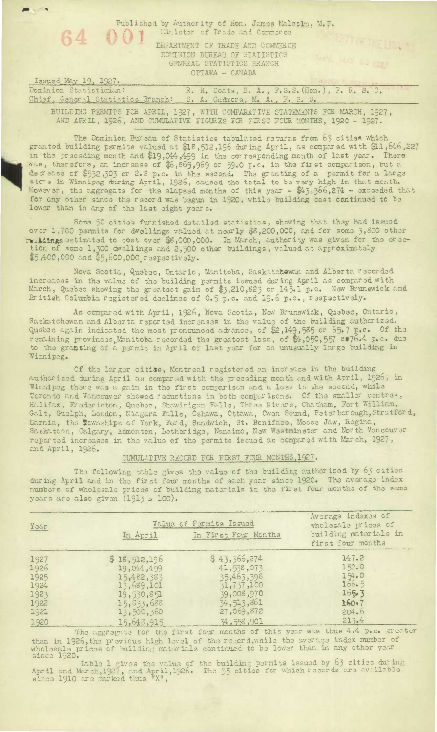Published by Authority of Hon. James Malcolm, M. F.

**STATE VIE LINE** 

Herd. May 62 627

DEPARTMENT OF TRADE AND COMMERCE DOMINION BUREAU OF STATISTICS GENERAL STATISTICS ERANCH OTTAWA - CANADA

| Issued May 19, 1927.              |                                |                                                |  |
|-----------------------------------|--------------------------------|------------------------------------------------|--|
| Dominion Statistician:            |                                | R. H. Coats, B. A., F.S.S. (Hon.), F. R. S. C. |  |
| Chief, General Statistics Branch: | S. A. Cudmore, M. A., F. S. S. |                                                |  |
|                                   |                                |                                                |  |

BUILDING PERMITS FCR APRIL, 1927, WITH COMPARATIVE STATEMENTS FCR MARCH, 1927, AND APRIL, 1926, AND CUMULATIVE FIGURES FCR FIRST FOUR MONTHS, 1920 - 1927.

The Dominion Bureau of Statistics tabulated returns from 63 cities which granted building permits valued at \$18,512,196 during April, as compared with \$11,646,227 in the preceding month and \$19,044,499 in the corresponding month of last year. There was, therefore, an increase of \$6,865,969 or 59.0 p.c. in the first comparison, but a There decrease of \$532,303 or 2.8 p.c. in the second. The granting of a permit for a large<br>store in Winnipeg during April, 1926, caused the total to be very high in that month.<br>However, the aggregate for the elapsed months of t for any other since the record was begun in 1920, while building cost continued to be lower than in any of the last eight years.

Some 50 cities furnished detailed statistics, showing that they had issued over 1,700 permits for dwellings valued at nearly \$8,200,000, and for some 3,800 other bookdings estimated to cost over \$8,000,000. In March, authority was given for the erection of some 1,300 dwellings and 2,500 other buildings, valued at approximately \$5,400,000 and \$5,600,000 respectively.

Nova Scotia, Quebec, Ontario, Manitoba, Saskatchewan and Alberta recorded increases in the value of the building permits issued during April as compared with March, Quebec showing the greatest gain of \$3,210,523 or 145.1 p.c. New Brunewick and British Columbia registered declines of 0.5 p.c. and 19.6 p.c., respectively.

As compared with April, 1926, Nova Scotia, New Brunswick, Quebec, Ontario, Saskatchewan and Alberta reported increases in the value of the building authorized. Quebec again indicated the most pronounced advance, of \$2,149,585 or 65.7 p.c. Of the remaining provinces, Manitoba recorded the greatest loss, of \$4,050,557 cx76.4 p.c. due Winnipeg.

Of the larger citics, Montreal registered an increase in the building authorized during April as compared with the preceding month and with April, 1926; in Winnipeg there was a gain in the first comparison and a loss in the second, while Toronto and Vancouver showed reductions in both comparisons. Of the smaller centres, Halifax, Fredericton, Quebec, Shawinigan Falls, Three Rivers, Chatham, Fort William, Galt, Guelph, London, Niagara Falls, Oshawa, Ottawa, Sarnia, the Townships of York, Ford, Sandwich, St. Boniface, Moose Jaw, Regina, Saskatoon, Calgary, Edmonton, Lethbridge, Nanaimo, New Westminster and North Vancouver<br>reported increases in the value of the permits issued as compared with March, 1927, and April, 1926.

## CUMULATIVE RECORD FOR FIRST FOUR MONTHS, 1927.

The following table gives the value of the building authorized by 63 cities during April and in the first four months of each year since 1920. The average index numbers of wholesale prices of building materials in the first four months of the same years are also given  $(1913 = 100)$ .

| Year                                                         |                                                                                                                  | Value of Permits Issued                                                                                          | Average indexes of<br>wholesale prices of                            |  |
|--------------------------------------------------------------|------------------------------------------------------------------------------------------------------------------|------------------------------------------------------------------------------------------------------------------|----------------------------------------------------------------------|--|
|                                                              | In April                                                                                                         | In First Four Months                                                                                             | building materials in<br>first four months                           |  |
| 1927<br>1926<br>1925<br>1924<br>1923<br>1922<br>1921<br>1920 | \$18,512,196<br>19,044,499<br>15,482,383<br>13,689,101<br>19,530,851<br>15, 333, 688<br>13,500,360<br>15,648,915 | \$43,366,274<br>41,538,073<br>35,463,598<br>31,737,100<br>39,008,970<br>34, 513, 861<br>27,069,872<br>34,558,901 | 147.2<br>152.0<br>154.0<br>166.5<br>165.3<br>160.7<br>204.6<br>213.4 |  |

The aggregate for the first four months of this year was thus 4.4 p.c. greater than in 1926, the previous high level of the record, while the average index number of wholesale prices of building materials continued to be lower than in any other year since 1920.

Table 1 gives the value of the building permits issued by 63 cities during<br>April and March, 1927, and April, 1926. The 35 cities for which records are available<br>since 1910 are marked thus "X",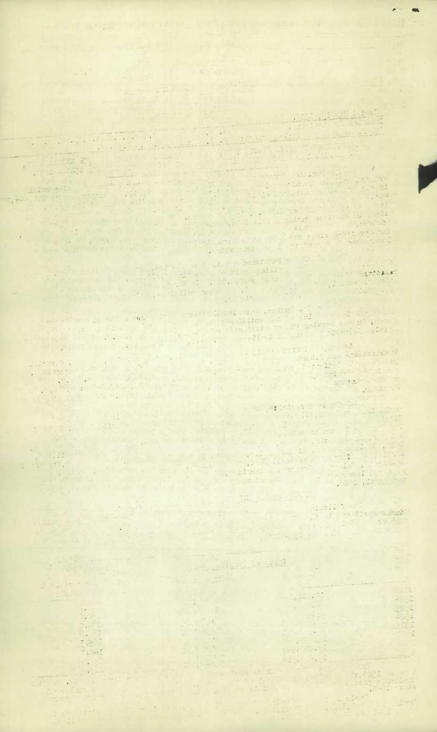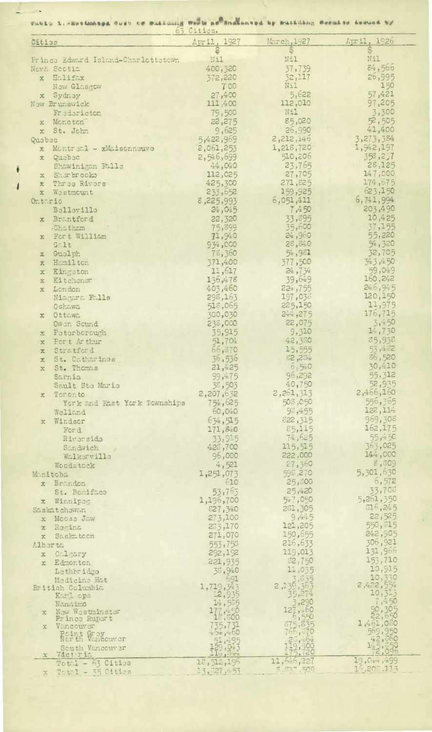These inconsideration of suffamily well as similaries by suffamily correlate from the

-

 $\hat{\vec{x}}$ 

 $\sim$ 

 $\equiv$ 

 $\bar{\P}$ 

 $\overline{1}$ 

| Oitias                                                               | April, 1927              | March, 1927             | April, 1926          |
|----------------------------------------------------------------------|--------------------------|-------------------------|----------------------|
|                                                                      |                          |                         |                      |
| Frince Edward Island-Charlottetown<br>Neva Sectia                    | Nil<br>400,320           | Ni1<br>37,739           | Nil<br>84,566        |
| x Halifax                                                            | 372,220                  | 32,117                  | 26,995               |
| New Glasgow                                                          | 700                      | Nil                     | 150                  |
| x Sydney                                                             | 27,400                   | 5,622                   | 57,421               |
| New Brunswick                                                        | 111,400                  | 112,010                 | 97,205               |
| Fredericton                                                          | 79,500                   | Nil                     | 3,300                |
| Moneton<br>$\mathbf{x}$                                              | 22,275<br>9,625          | 85,020<br>26,990        | 52,505<br>41,400     |
| St. John<br>$\mathbb{X}$<br>Quabec                                   | 5,422,969                | 2,212,146               | 3,273,384            |
| x Montreal - xMaisonneuve                                            | 2,061,253                | 1,218,720               | 1,942,197            |
| Quebac<br>天.                                                         | 2,546,699                | 510,206                 | 358,237              |
| Shawinigan Falls                                                     | 44,040                   | 23,765                  | 28,125               |
| Sher brooke<br>X.                                                    | 112,025                  | 27,705                  | 147,000<br>174,575   |
| Three Rivers<br>$\overline{\mathbf{x}}$<br>Westmount<br>$\mathbf{x}$ | 425,300<br>233,652       | 271,825<br>159,925      | 623,150              |
| Ontario                                                              | 8,225,993                | 6,051,411               | 6,741,994            |
| Belleville                                                           | 24,045                   | 7,450                   | 203,490              |
| Brantford<br>$\mathbf{x}$                                            | 22,320                   | 33,895                  | 10,425               |
| .Chatham                                                             | 75,899                   | 35,600                  | 37,155               |
| Fort William<br>$\mathbf x$<br>$G - 1t$                              | 71,940<br>934,000        | 24,960<br>28,340        | 55,220<br>54,320     |
| Guelph<br>$\mathbf{x}$                                               | 78,360                   | 54,981                  | 32,705               |
| Hamilton<br>$\mathbf x$                                              | 371,400                  | 377,500                 | 343,450              |
| Kingston<br>$\mathbb X$                                              | 11,617                   | 24,734                  | 59,049               |
| Kitchener<br>$\mathbbm{X}$                                           | 136,478                  | 39,649                  | 160,242              |
| London<br>$\mathbf x$                                                | 403,460                  | $22 + 1755$             | 246,945<br>120,150   |
| Miagara Falls<br>Oshawa                                              | 298,163<br>518,065       | 197,038<br>225,150      | 11,975               |
| Ottawa<br>$\mathbf{x}$                                               | 300,030                  | 244,275                 | 176,715              |
| Owen Sound                                                           | 238,000                  | 22,075                  | 3,450                |
| Peterborough<br>$\mathbf{x}$                                         | 35,915                   | 9,310                   | 14,730               |
| Port Arthur<br>$\mathbf x$                                           | 51,704                   | 42,330                  | 85,938               |
| Stratford<br>$\mathbb{X}$<br>x St. Catharines                        | 66,370                   | 15,555<br>\$2.34        | 53,482<br>86,520     |
| St. Thomas<br>$\mathbf x$                                            | 36,536<br>21,425         | 6.500                   | 30,410               |
| Sarnia                                                               | 99,475                   | 96,292                  | 55,312               |
| Sault Ste Marie                                                      | 38,503                   | 40,750                  | 52,935               |
| Toronto<br><b>x</b>                                                  | 2,207,632                | 2,261,313               | 2,466,160            |
| York and East York Townships                                         | 754,625<br>60,040        | 508,050<br>98,455       | 556,365<br>122, 114  |
| Welland<br>Windsor<br>$\mathbf{x}$                                   | 634,515                  | 822,315                 | 969,308              |
| Ford                                                                 | 171, 8.0                 | 85,115                  | 162,175              |
| Riverside                                                            | 33,915                   | 74,625                  | 55,450               |
| Sandwich                                                             | 428,700                  | 115,515                 | 363,025              |
| Walkerville                                                          | 96,000                   | 222,000                 | 144,000<br>8,309     |
| Woodstock                                                            | 4,521<br>1,251,073       | 27,360<br>598,270       | 5,301,630            |
| Manitcha<br>x Brandon                                                | 610                      | 25,800                  | 6,572                |
| St. Boniface                                                         | 53,763                   | 25,420                  | 33,708               |
| x Winnipeg                                                           | 1,196,700                | 5.7,050                 | 5,261,350            |
| Saskatchewan                                                         | 827,340                  | 231,305                 | 316,245<br>22,525    |
| x Moose Jaw                                                          | 273,100<br>233,170       | 9,4.5<br>121,205        | 550, 315             |
| x Regina<br>Saskatoon<br>$\mathbf{x}$                                | 271,070                  | 150,655                 | 242,905              |
| Alberta                                                              | 553,753                  | 216,633                 | 306,921              |
| x Calgary                                                            | 292,192                  | 119,013                 | 131,966              |
| Edmonton<br>X                                                        | 221,935                  | E2,750                  | 153,710              |
| Lethbridge                                                           | 38,940                   | 11,035<br>3,835         | 10,915<br>10,350     |
| Medicine Hat<br>British Columbia                                     | 1,719,343                | 2, 139, 363             | 2,422,554            |
| Kaml ops                                                             | 22,935                   | 35,274                  | 10, 313              |
| Nanaimo                                                              | 14,535                   | 3,290                   | 7,450<br>90,305      |
| x New Westminster<br>Prince Rupert                                   | $^{177}$ ; $^{450}$      | $127, -60$<br>6,550     | 22,650               |
| Vancouver<br>$\mathbf{x}$                                            | 735,731                  | 375, 335                | 1,461,030<br>569,950 |
| Point Grey<br>North Vancouver                                        | ±0±, 4±00                | 766,870<br>20,104       | 42,360               |
| South Vancouver                                                      |                          | 119,900                 |                      |
| x Victoria                                                           |                          | 175.720<br>11, 6:6, 227 | $19,0 + 4,499$       |
| Total - $63$ Cities<br>Total - 35 Cities                             | 13,512,196<br>13,727,453 | 3.757.509               | 16,203.113           |